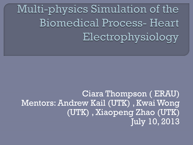Multi-physics Simulation of the **Biomedical Process-Heart** Electrophysiology

Ciara Thompson ( ERAU) Mentors: Andrew Kail (UTK) , Kwai Wong (UTK) , Xiaopeng Zhao (UTK) July 10, 2013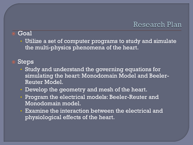#### Research Plan

#### Goal

• Utilize a set of computer programs to study and simulate the multi-physics phenomena of the heart.

### Steps

- Study and understand the governing equations for simulating the heart: Monodomain Model and Beeler-Reuter Model.
- Develop the geometry and mesh of the heart.
- Program the electrical models: Beeler-Reuter and Monodomain model.
- Examine the interaction between the electrical and physiological effects of the heart.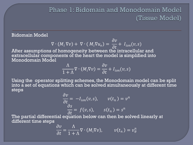## Phase 1: Bidomain and Monodomain Model (Tissue Model)

#### Bidomain Model

$$
\nabla \cdot (M_i \nabla v) + \nabla \cdot (M_i \nabla u_e) = \frac{\partial v}{\partial t} + I_{ion}(v, s)
$$

After assumptions of homogeneity between the intracellular and extracellular components of the heart the model is simplified into Monodomain Model

$$
\frac{\Lambda}{1+\Lambda}\nabla\cdot(M_i\nabla v) = \frac{\partial v}{\partial t} + I_{ion}(v, s)
$$

Using the operator splitting schemes, the Monodomain model can be split into a set of equations which can be solved simultaneously at different time steps

$$
\frac{\partial v}{\partial t} = -I_{ion}(v, s), \qquad v(t_n) = v^n
$$

$$
\frac{\partial s}{\partial t} = f(v, s), \qquad s(t_n) = s^n
$$

The partial differential equation below can then be solved linearly at different time steps

$$
\frac{\partial v}{\partial t} = \frac{\Lambda}{1 + \Lambda} \nabla \cdot (M_i \nabla v), \qquad v(t_n) = v_\theta^n
$$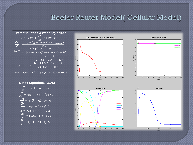# Beeler Reuter Model( Cellular Model)



 $iNa = (gNa \cdot m^3 \cdot h \cdot j + gNaCa)(V - ENa)$ 

**Gates Equations (ODE)**  $\frac{dx_1}{dt} = \alpha_{x1}(1 - x_1) - \beta_{x1}x_1$  $\frac{dm_1}{dt} = \alpha_{m1}(1 - m_1) - \beta_{m1}m_1$  $\frac{dh_1}{dt} = \alpha_{h1}(1 - h_1) - \beta_{h1}h_1$  $\frac{dj_1}{dt} = \alpha_{j1}(1-j_1) - \beta_{j1}j_1$  $iCa = gCa \cdot d \cdot f \cdot (V - ECa)$  $\frac{dd_1}{dt} = \alpha_{d1}(1 - d_1) - \beta_{d1}d_1$  $\frac{df_1}{dt} = \alpha_{f1}(1 - f_1) - \beta_{f1}f_1$